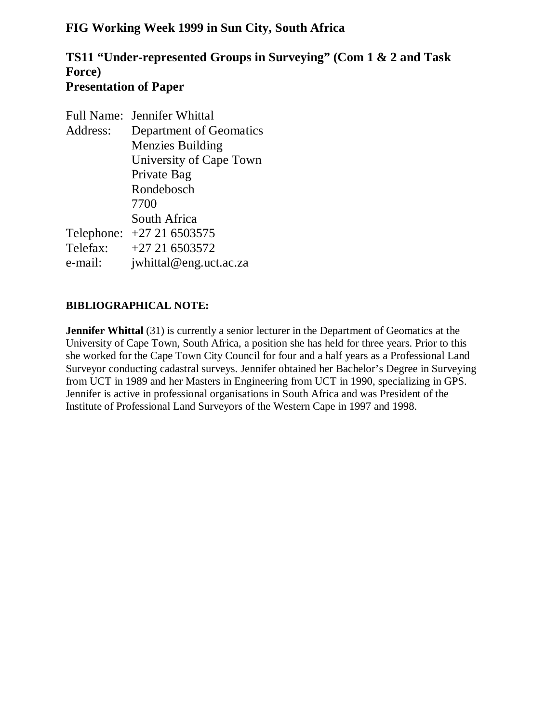## **FIG Working Week 1999 in Sun City, South Africa**

## **TS11 "Under-represented Groups in Surveying" (Com 1 & 2 and Task Force) Presentation of Paper**

|          | Full Name: Jennifer Whittal |
|----------|-----------------------------|
| Address: | Department of Geomatics     |
|          | <b>Menzies Building</b>     |
|          | University of Cape Town     |
|          | Private Bag                 |
|          | Rondebosch                  |
|          | 7700                        |
|          | South Africa                |
|          | Telephone: +27 21 6503575   |
| Telefax: | $+27216503572$              |
| e-mail:  | jwhittal@eng.uct.ac.za      |

### **BIBLIOGRAPHICAL NOTE:**

**Jennifer Whittal** (31) is currently a senior lecturer in the Department of Geomatics at the University of Cape Town, South Africa, a position she has held for three years. Prior to this she worked for the Cape Town City Council for four and a half years as a Professional Land Surveyor conducting cadastral surveys. Jennifer obtained her Bachelor's Degree in Surveying from UCT in 1989 and her Masters in Engineering from UCT in 1990, specializing in GPS. Jennifer is active in professional organisations in South Africa and was President of the Institute of Professional Land Surveyors of the Western Cape in 1997 and 1998.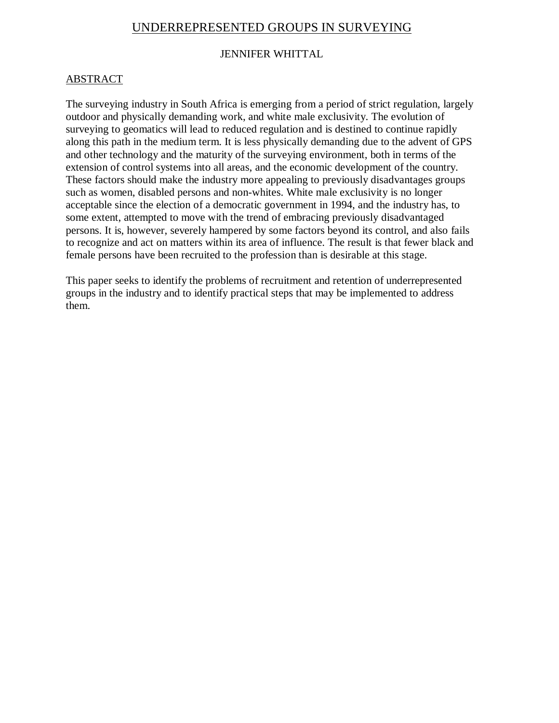# UNDERREPRESENTED GROUPS IN SURVEYING

### JENNIFER WHITTAL

### ABSTRACT

The surveying industry in South Africa is emerging from a period of strict regulation, largely outdoor and physically demanding work, and white male exclusivity. The evolution of surveying to geomatics will lead to reduced regulation and is destined to continue rapidly along this path in the medium term. It is less physically demanding due to the advent of GPS and other technology and the maturity of the surveying environment, both in terms of the extension of control systems into all areas, and the economic development of the country. These factors should make the industry more appealing to previously disadvantages groups such as women, disabled persons and non-whites. White male exclusivity is no longer acceptable since the election of a democratic government in 1994, and the industry has, to some extent, attempted to move with the trend of embracing previously disadvantaged persons. It is, however, severely hampered by some factors beyond its control, and also fails to recognize and act on matters within its area of influence. The result is that fewer black and female persons have been recruited to the profession than is desirable at this stage.

This paper seeks to identify the problems of recruitment and retention of underrepresented groups in the industry and to identify practical steps that may be implemented to address them.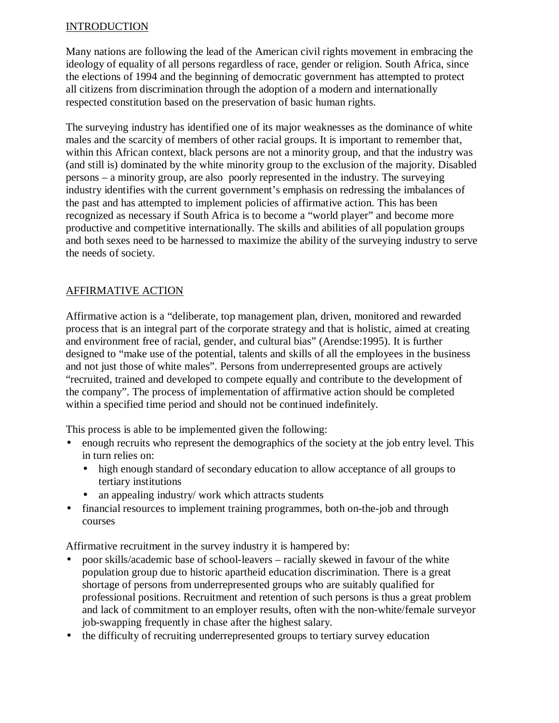#### INTRODUCTION

Many nations are following the lead of the American civil rights movement in embracing the ideology of equality of all persons regardless of race, gender or religion. South Africa, since the elections of 1994 and the beginning of democratic government has attempted to protect all citizens from discrimination through the adoption of a modern and internationally respected constitution based on the preservation of basic human rights.

The surveying industry has identified one of its major weaknesses as the dominance of white males and the scarcity of members of other racial groups. It is important to remember that, within this African context, black persons are not a minority group, and that the industry was (and still is) dominated by the white minority group to the exclusion of the majority. Disabled persons – a minority group, are also poorly represented in the industry. The surveying industry identifies with the current government's emphasis on redressing the imbalances of the past and has attempted to implement policies of affirmative action. This has been recognized as necessary if South Africa is to become a "world player" and become more productive and competitive internationally. The skills and abilities of all population groups and both sexes need to be harnessed to maximize the ability of the surveying industry to serve the needs of society.

### AFFIRMATIVE ACTION

Affirmative action is a "deliberate, top management plan, driven, monitored and rewarded process that is an integral part of the corporate strategy and that is holistic, aimed at creating and environment free of racial, gender, and cultural bias" (Arendse:1995). It is further designed to "make use of the potential, talents and skills of all the employees in the business and not just those of white males". Persons from underrepresented groups are actively "recruited, trained and developed to compete equally and contribute to the development of the company". The process of implementation of affirmative action should be completed within a specified time period and should not be continued indefinitely.

This process is able to be implemented given the following:

- enough recruits who represent the demographics of the society at the job entry level. This in turn relies on:
	- high enough standard of secondary education to allow acceptance of all groups to tertiary institutions
	- an appealing industry/ work which attracts students
- financial resources to implement training programmes, both on-the-job and through courses

Affirmative recruitment in the survey industry it is hampered by:

- poor skills/academic base of school-leavers racially skewed in favour of the white population group due to historic apartheid education discrimination. There is a great shortage of persons from underrepresented groups who are suitably qualified for professional positions. Recruitment and retention of such persons is thus a great problem and lack of commitment to an employer results, often with the non-white/female surveyor job-swapping frequently in chase after the highest salary.
- the difficulty of recruiting underrepresented groups to tertiary survey education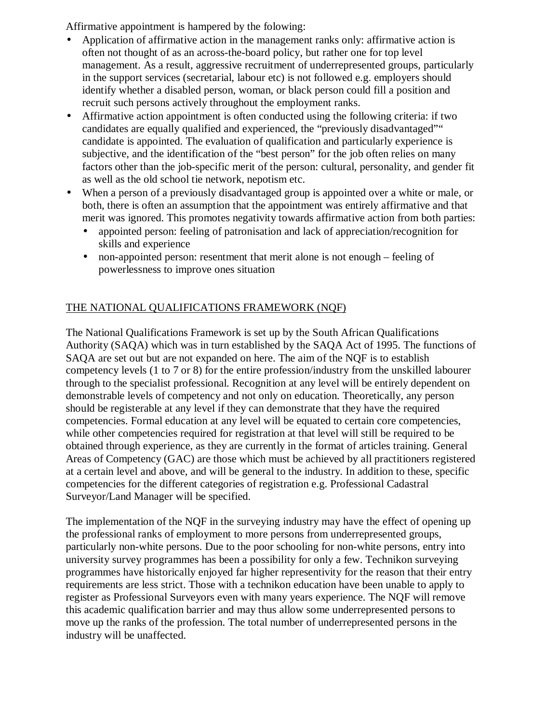Affirmative appointment is hampered by the folowing:

- Application of affirmative action in the management ranks only: affirmative action is often not thought of as an across-the-board policy, but rather one for top level management. As a result, aggressive recruitment of underrepresented groups, particularly in the support services (secretarial, labour etc) is not followed e.g. employers should identify whether a disabled person, woman, or black person could fill a position and recruit such persons actively throughout the employment ranks.
- Affirmative action appointment is often conducted using the following criteria: if two candidates are equally qualified and experienced, the "previously disadvantaged"" candidate is appointed. The evaluation of qualification and particularly experience is subjective, and the identification of the "best person" for the job often relies on many factors other than the job-specific merit of the person: cultural, personality, and gender fit as well as the old school tie network, nepotism etc.
- When a person of a previously disadvantaged group is appointed over a white or male, or both, there is often an assumption that the appointment was entirely affirmative and that merit was ignored. This promotes negativity towards affirmative action from both parties:
	- appointed person: feeling of patronisation and lack of appreciation/recognition for skills and experience
	- non-appointed person: resentment that merit alone is not enough feeling of powerlessness to improve ones situation

## THE NATIONAL QUALIFICATIONS FRAMEWORK (NQF)

The National Qualifications Framework is set up by the South African Qualifications Authority (SAQA) which was in turn established by the SAQA Act of 1995. The functions of SAQA are set out but are not expanded on here. The aim of the NQF is to establish competency levels (1 to 7 or 8) for the entire profession/industry from the unskilled labourer through to the specialist professional. Recognition at any level will be entirely dependent on demonstrable levels of competency and not only on education. Theoretically, any person should be registerable at any level if they can demonstrate that they have the required competencies. Formal education at any level will be equated to certain core competencies, while other competencies required for registration at that level will still be required to be obtained through experience, as they are currently in the format of articles training. General Areas of Competency (GAC) are those which must be achieved by all practitioners registered at a certain level and above, and will be general to the industry. In addition to these, specific competencies for the different categories of registration e.g. Professional Cadastral Surveyor/Land Manager will be specified.

The implementation of the NQF in the surveying industry may have the effect of opening up the professional ranks of employment to more persons from underrepresented groups, particularly non-white persons. Due to the poor schooling for non-white persons, entry into university survey programmes has been a possibility for only a few. Technikon surveying programmes have historically enjoyed far higher representivity for the reason that their entry requirements are less strict. Those with a technikon education have been unable to apply to register as Professional Surveyors even with many years experience. The NQF will remove this academic qualification barrier and may thus allow some underrepresented persons to move up the ranks of the profession. The total number of underrepresented persons in the industry will be unaffected.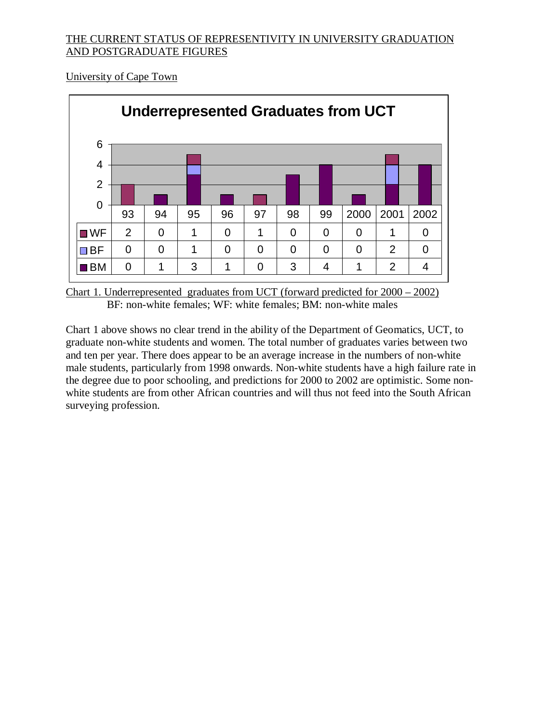### THE CURRENT STATUS OF REPRESENTIVITY IN UNIVERSITY GRADUATION AND POSTGRADUATE FIGURES

University of Cape Town



Chart 1. Underrepresented graduates from UCT (forward predicted for 2000 – 2002) BF: non-white females; WF: white females; BM: non-white males

Chart 1 above shows no clear trend in the ability of the Department of Geomatics, UCT, to graduate non-white students and women. The total number of graduates varies between two and ten per year. There does appear to be an average increase in the numbers of non-white male students, particularly from 1998 onwards. Non-white students have a high failure rate in the degree due to poor schooling, and predictions for 2000 to 2002 are optimistic. Some nonwhite students are from other African countries and will thus not feed into the South African surveying profession.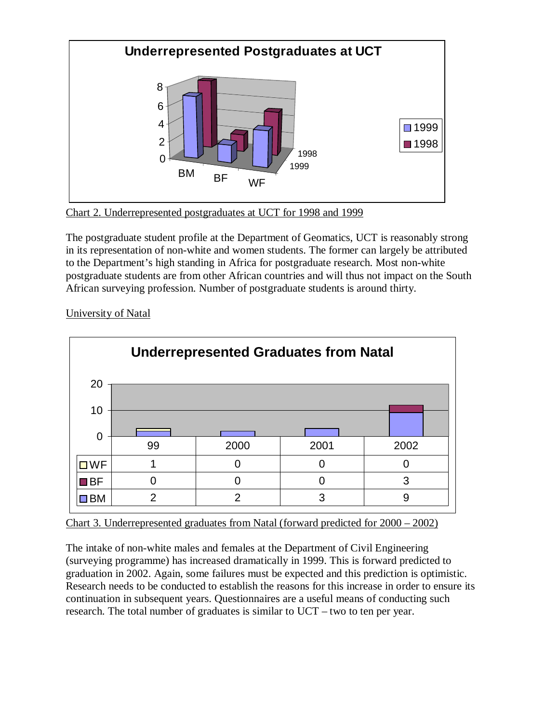

Chart 2. Underrepresented postgraduates at UCT for 1998 and 1999

The postgraduate student profile at the Department of Geomatics, UCT is reasonably strong in its representation of non-white and women students. The former can largely be attributed to the Department's high standing in Africa for postgraduate research. Most non-white postgraduate students are from other African countries and will thus not impact on the South African surveying profession. Number of postgraduate students is around thirty.



University of Natal



The intake of non-white males and females at the Department of Civil Engineering (surveying programme) has increased dramatically in 1999. This is forward predicted to graduation in 2002. Again, some failures must be expected and this prediction is optimistic. Research needs to be conducted to establish the reasons for this increase in order to ensure its continuation in subsequent years. Questionnaires are a useful means of conducting such research. The total number of graduates is similar to UCT – two to ten per year.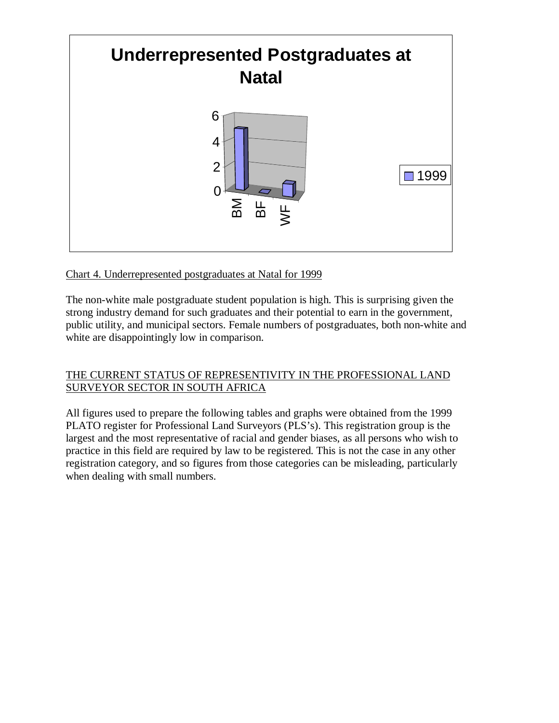

### Chart 4. Underrepresented postgraduates at Natal for 1999

The non-white male postgraduate student population is high. This is surprising given the strong industry demand for such graduates and their potential to earn in the government, public utility, and municipal sectors. Female numbers of postgraduates, both non-white and white are disappointingly low in comparison.

### THE CURRENT STATUS OF REPRESENTIVITY IN THE PROFESSIONAL LAND SURVEYOR SECTOR IN SOUTH AFRICA

All figures used to prepare the following tables and graphs were obtained from the 1999 PLATO register for Professional Land Surveyors (PLS's). This registration group is the largest and the most representative of racial and gender biases, as all persons who wish to practice in this field are required by law to be registered. This is not the case in any other registration category, and so figures from those categories can be misleading, particularly when dealing with small numbers.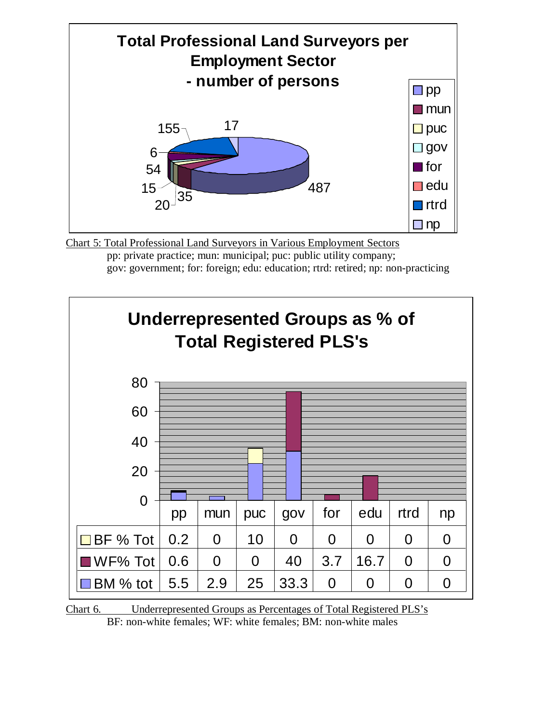

Chart 5: Total Professional Land Surveyors in Various Employment Sectors pp: private practice; mun: municipal; puc: public utility company; gov: government; for: foreign; edu: education; rtrd: retired; np: non-practicing



Chart 6. Underrepresented Groups as Percentages of Total Registered PLS's BF: non-white females; WF: white females; BM: non-white males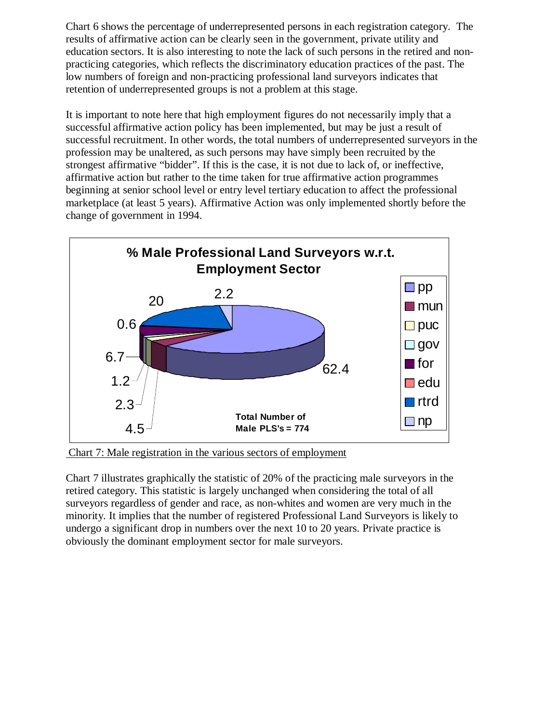Chart 6 shows the percentage of underrepresented persons in each registration category. The results of affirmative action can be clearly seen in the government, private utility and education sectors. It is also interesting to note the lack of such persons in the retired and nonpracticing categories, which reflects the discriminatory education practices of the past. The low numbers of foreign and non-practicing professional land surveyors indicates that retention of underrepresented groups is not a problem at this stage.

It is important to note here that high employment figures do not necessarily imply that a successful affirmative action policy has been implemented, but may be just a result of successful recruitment. In other words, the total numbers of underrepresented surveyors in the profession may be unaltered, as such persons may have simply been recruited by the strongest affirmative "bidder". If this is the case, it is not due to lack of, or ineffective, affirmative action but rather to the time taken for true affirmative action programmes beginning at senior school level or entry level tertiary education to affect the professional marketplace (at least 5 years). Affirmative Action was only implemented shortly before the change of government in 1994.



Chart 7: Male registration in the various sectors of employment

Chart 7 illustrates graphically the statistic of 20% of the practicing male surveyors in the retired category. This statistic is largely unchanged when considering the total of all surveyors regardless of gender and race, as non-whites and women are very much in the minority. It implies that the number of registered Professional Land Surveyors is likely to undergo a significant drop in numbers over the next 10 to 20 years. Private practice is obviously the dominant employment sector for male surveyors.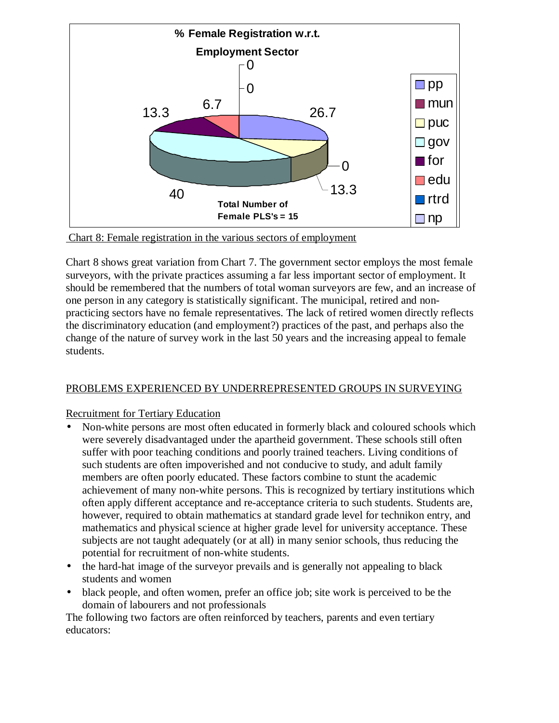



Chart 8 shows great variation from Chart 7. The government sector employs the most female surveyors, with the private practices assuming a far less important sector of employment. It should be remembered that the numbers of total woman surveyors are few, and an increase of one person in any category is statistically significant. The municipal, retired and nonpracticing sectors have no female representatives. The lack of retired women directly reflects the discriminatory education (and employment?) practices of the past, and perhaps also the change of the nature of survey work in the last 50 years and the increasing appeal to female students.

### PROBLEMS EXPERIENCED BY UNDERREPRESENTED GROUPS IN SURVEYING

### Recruitment for Tertiary Education

- Non-white persons are most often educated in formerly black and coloured schools which were severely disadvantaged under the apartheid government. These schools still often suffer with poor teaching conditions and poorly trained teachers. Living conditions of such students are often impoverished and not conducive to study, and adult family members are often poorly educated. These factors combine to stunt the academic achievement of many non-white persons. This is recognized by tertiary institutions which often apply different acceptance and re-acceptance criteria to such students. Students are, however, required to obtain mathematics at standard grade level for technikon entry, and mathematics and physical science at higher grade level for university acceptance. These subjects are not taught adequately (or at all) in many senior schools, thus reducing the potential for recruitment of non-white students.
- the hard-hat image of the surveyor prevails and is generally not appealing to black students and women
- black people, and often women, prefer an office job; site work is perceived to be the domain of labourers and not professionals

The following two factors are often reinforced by teachers, parents and even tertiary educators: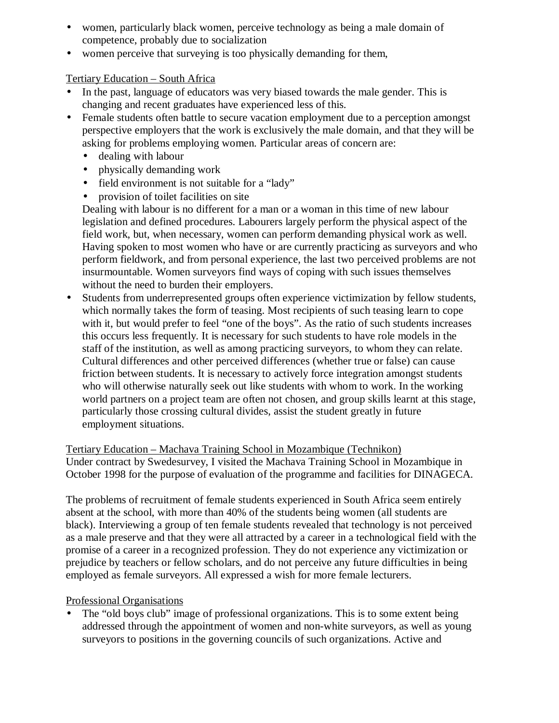- women, particularly black women, perceive technology as being a male domain of competence, probably due to socialization
- women perceive that surveying is too physically demanding for them,

#### Tertiary Education – South Africa

- In the past, language of educators was very biased towards the male gender. This is changing and recent graduates have experienced less of this.
- Female students often battle to secure vacation employment due to a perception amongst perspective employers that the work is exclusively the male domain, and that they will be asking for problems employing women. Particular areas of concern are:
	- dealing with labour
	- physically demanding work
	- field environment is not suitable for a "lady"
	- provision of toilet facilities on site

Dealing with labour is no different for a man or a woman in this time of new labour legislation and defined procedures. Labourers largely perform the physical aspect of the field work, but, when necessary, women can perform demanding physical work as well. Having spoken to most women who have or are currently practicing as surveyors and who perform fieldwork, and from personal experience, the last two perceived problems are not insurmountable. Women surveyors find ways of coping with such issues themselves without the need to burden their employers.

• Students from underrepresented groups often experience victimization by fellow students, which normally takes the form of teasing. Most recipients of such teasing learn to cope with it, but would prefer to feel "one of the boys". As the ratio of such students increases this occurs less frequently. It is necessary for such students to have role models in the staff of the institution, as well as among practicing surveyors, to whom they can relate. Cultural differences and other perceived differences (whether true or false) can cause friction between students. It is necessary to actively force integration amongst students who will otherwise naturally seek out like students with whom to work. In the working world partners on a project team are often not chosen, and group skills learnt at this stage, particularly those crossing cultural divides, assist the student greatly in future employment situations.

Tertiary Education – Machava Training School in Mozambique (Technikon) Under contract by Swedesurvey, I visited the Machava Training School in Mozambique in October 1998 for the purpose of evaluation of the programme and facilities for DINAGECA.

The problems of recruitment of female students experienced in South Africa seem entirely absent at the school, with more than 40% of the students being women (all students are black). Interviewing a group of ten female students revealed that technology is not perceived as a male preserve and that they were all attracted by a career in a technological field with the promise of a career in a recognized profession. They do not experience any victimization or prejudice by teachers or fellow scholars, and do not perceive any future difficulties in being employed as female surveyors. All expressed a wish for more female lecturers.

#### Professional Organisations

The "old boys club" image of professional organizations. This is to some extent being addressed through the appointment of women and non-white surveyors, as well as young surveyors to positions in the governing councils of such organizations. Active and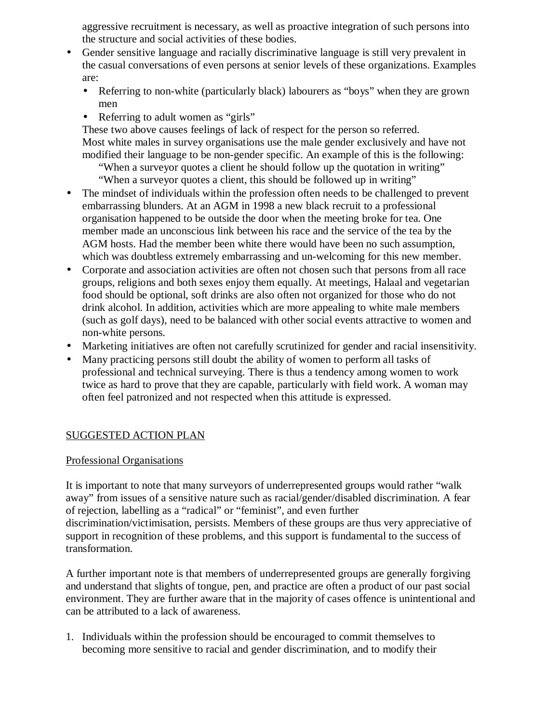aggressive recruitment is necessary, as well as proactive integration of such persons into the structure and social activities of these bodies.

- Gender sensitive language and racially discriminative language is still very prevalent in the casual conversations of even persons at senior levels of these organizations. Examples are:
	- Referring to non-white (particularly black) labourers as "boys" when they are grown men
	- Referring to adult women as "girls"

These two above causes feelings of lack of respect for the person so referred. Most white males in survey organisations use the male gender exclusively and have not modified their language to be non-gender specific. An example of this is the following:

 "When a surveyor quotes a client he should follow up the quotation in writing" "When a surveyor quotes a client, this should be followed up in writing"

- The mindset of individuals within the profession often needs to be challenged to prevent embarrassing blunders. At an AGM in 1998 a new black recruit to a professional organisation happened to be outside the door when the meeting broke for tea. One member made an unconscious link between his race and the service of the tea by the AGM hosts. Had the member been white there would have been no such assumption, which was doubtless extremely embarrassing and un-welcoming for this new member.
- Corporate and association activities are often not chosen such that persons from all race groups, religions and both sexes enjoy them equally. At meetings, Halaal and vegetarian food should be optional, soft drinks are also often not organized for those who do not drink alcohol. In addition, activities which are more appealing to white male members (such as golf days), need to be balanced with other social events attractive to women and non-white persons.
- Marketing initiatives are often not carefully scrutinized for gender and racial insensitivity.
- Many practicing persons still doubt the ability of women to perform all tasks of professional and technical surveying. There is thus a tendency among women to work twice as hard to prove that they are capable, particularly with field work. A woman may often feel patronized and not respected when this attitude is expressed.

### SUGGESTED ACTION PLAN

### Professional Organisations

It is important to note that many surveyors of underrepresented groups would rather "walk away" from issues of a sensitive nature such as racial/gender/disabled discrimination. A fear of rejection, labelling as a "radical" or "feminist", and even further discrimination/victimisation, persists. Members of these groups are thus very appreciative of support in recognition of these problems, and this support is fundamental to the success of transformation.

A further important note is that members of underrepresented groups are generally forgiving and understand that slights of tongue, pen, and practice are often a product of our past social environment. They are further aware that in the majority of cases offence is unintentional and can be attributed to a lack of awareness.

1. Individuals within the profession should be encouraged to commit themselves to becoming more sensitive to racial and gender discrimination, and to modify their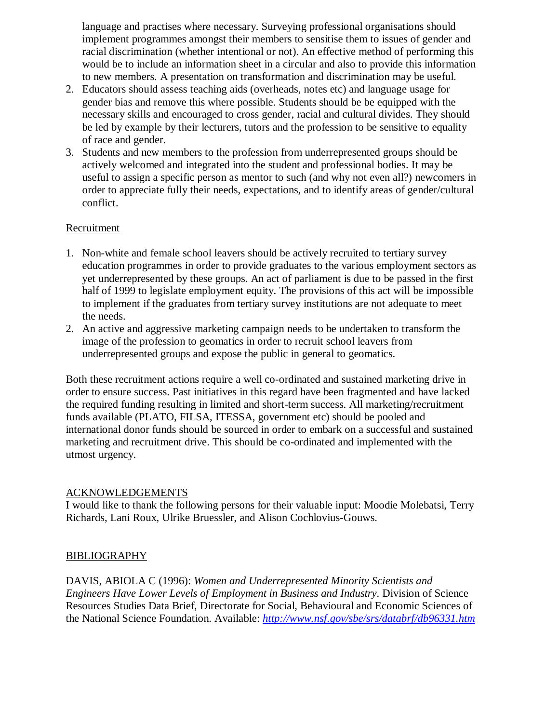language and practises where necessary. Surveying professional organisations should implement programmes amongst their members to sensitise them to issues of gender and racial discrimination (whether intentional or not). An effective method of performing this would be to include an information sheet in a circular and also to provide this information to new members. A presentation on transformation and discrimination may be useful.

- 2. Educators should assess teaching aids (overheads, notes etc) and language usage for gender bias and remove this where possible. Students should be be equipped with the necessary skills and encouraged to cross gender, racial and cultural divides. They should be led by example by their lecturers, tutors and the profession to be sensitive to equality of race and gender.
- 3. Students and new members to the profession from underrepresented groups should be actively welcomed and integrated into the student and professional bodies. It may be useful to assign a specific person as mentor to such (and why not even all?) newcomers in order to appreciate fully their needs, expectations, and to identify areas of gender/cultural conflict.

#### **Recruitment**

- 1. Non-white and female school leavers should be actively recruited to tertiary survey education programmes in order to provide graduates to the various employment sectors as yet underrepresented by these groups. An act of parliament is due to be passed in the first half of 1999 to legislate employment equity. The provisions of this act will be impossible to implement if the graduates from tertiary survey institutions are not adequate to meet the needs.
- 2. An active and aggressive marketing campaign needs to be undertaken to transform the image of the profession to geomatics in order to recruit school leavers from underrepresented groups and expose the public in general to geomatics.

Both these recruitment actions require a well co-ordinated and sustained marketing drive in order to ensure success. Past initiatives in this regard have been fragmented and have lacked the required funding resulting in limited and short-term success. All marketing/recruitment funds available (PLATO, FILSA, ITESSA, government etc) should be pooled and international donor funds should be sourced in order to embark on a successful and sustained marketing and recruitment drive. This should be co-ordinated and implemented with the utmost urgency.

#### ACKNOWLEDGEMENTS

I would like to thank the following persons for their valuable input: Moodie Molebatsi, Terry Richards, Lani Roux, Ulrike Bruessler, and Alison Cochlovius-Gouws.

#### BIBLIOGRAPHY

DAVIS, ABIOLA C (1996): *Women and Underrepresented Minority Scientists and Engineers Have Lower Levels of Employment in Business and Industry*. Division of Science Resources Studies Data Brief, Directorate for Social, Behavioural and Economic Sciences of the National Science Foundation. Available: *http://www.nsf.gov/sbe/srs/databrf/db96331.htm*